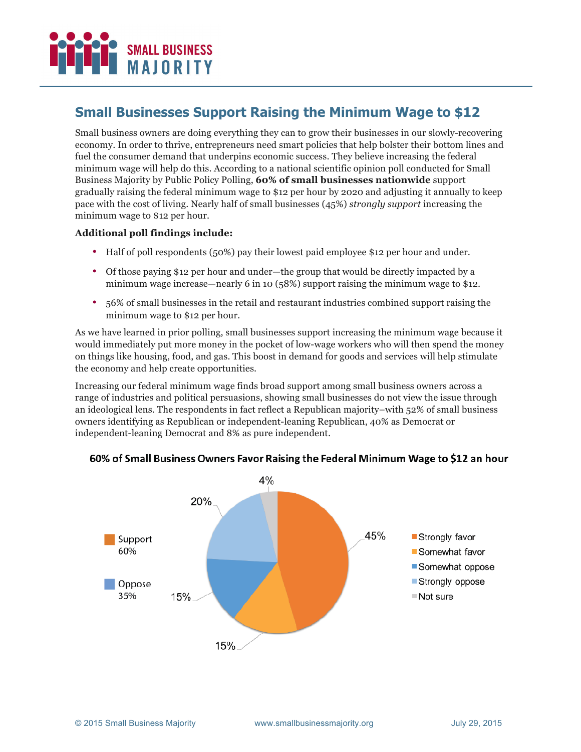# **SMALL BUSINESS MAIORITY**

## **Small Businesses Support Raising the Minimum Wage to \$12**

Small business owners are doing everything they can to grow their businesses in our slowly-recovering economy. In order to thrive, entrepreneurs need smart policies that help bolster their bottom lines and fuel the consumer demand that underpins economic success. They believe increasing the federal minimum wage will help do this. According to a national scientific opinion poll conducted for Small Business Majority by Public Policy Polling, **60% of small businesses nationwide** support gradually raising the federal minimum wage to \$12 per hour by 2020 and adjusting it annually to keep pace with the cost of living. Nearly half of small businesses (45%) *strongly support* increasing the minimum wage to \$12 per hour.

#### **Additional poll findings include:**

- Half of poll respondents (50%) pay their lowest paid employee \$12 per hour and under.
- Of those paying \$12 per hour and under—the group that would be directly impacted by a minimum wage increase—nearly 6 in 10 (58%) support raising the minimum wage to \$12.
- 56% of small businesses in the retail and restaurant industries combined support raising the minimum wage to \$12 per hour.

As we have learned in prior polling, small businesses support increasing the minimum wage because it would immediately put more money in the pocket of low-wage workers who will then spend the money on things like housing, food, and gas. This boost in demand for goods and services will help stimulate the economy and help create opportunities.

Increasing our federal minimum wage finds broad support among small business owners across a range of industries and political persuasions, showing small businesses do not view the issue through an ideological lens. The respondents in fact reflect a Republican majority–with 52% of small business owners identifying as Republican or independent-leaning Republican, 40% as Democrat or independent-leaning Democrat and 8% as pure independent.



#### 60% of Small Business Owners Favor Raising the Federal Minimum Wage to \$12 an hour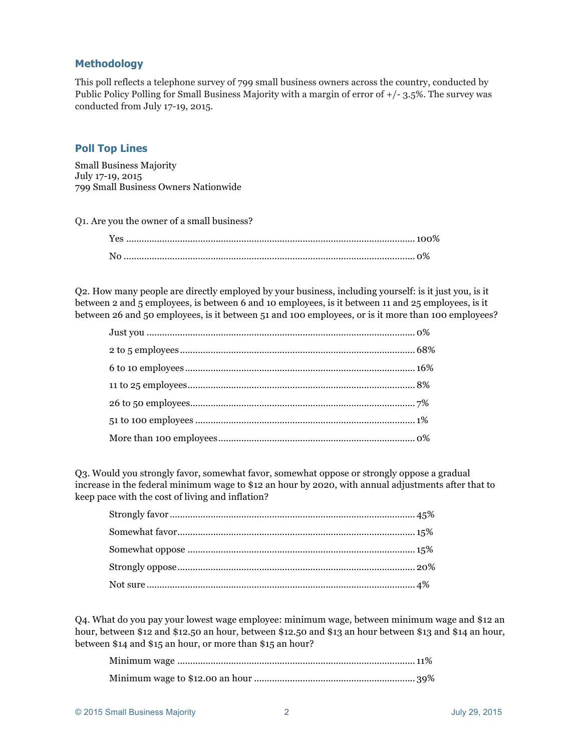#### **Methodology**

This poll reflects a telephone survey of 799 small business owners across the country, conducted by Public Policy Polling for Small Business Majority with a margin of error of +/- 3.5%. The survey was conducted from July 17-19, 2015.

#### **Poll Top Lines**

Small Business Majority July 17-19, 2015 799 Small Business Owners Nationwide

Q1. Are you the owner of a small business?

Q2. How many people are directly employed by your business, including yourself: is it just you, is it between 2 and 5 employees, is between 6 and 10 employees, is it between 11 and 25 employees, is it between 26 and 50 employees, is it between 51 and 100 employees, or is it more than 100 employees?

Q3. Would you strongly favor, somewhat favor, somewhat oppose or strongly oppose a gradual increase in the federal minimum wage to \$12 an hour by 2020, with annual adjustments after that to keep pace with the cost of living and inflation?

Q4. What do you pay your lowest wage employee: minimum wage, between minimum wage and \$12 an hour, between \$12 and \$12.50 an hour, between \$12.50 and \$13 an hour between \$13 and \$14 an hour, between \$14 and \$15 an hour, or more than \$15 an hour?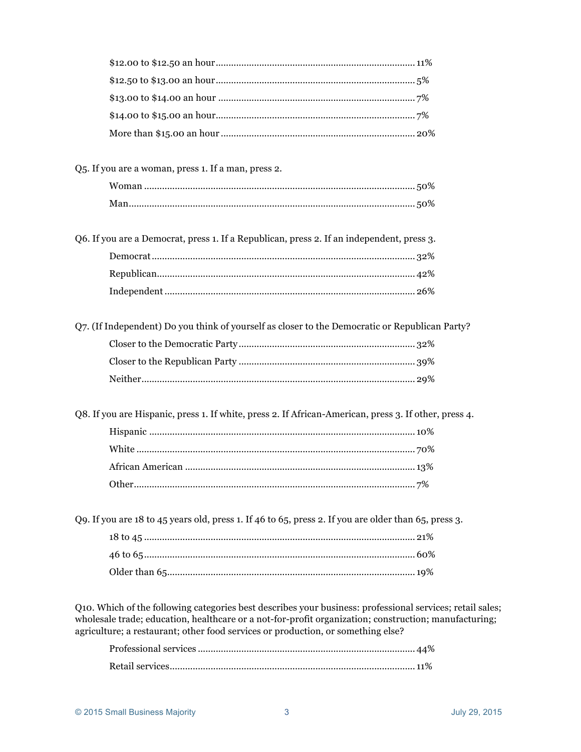| Q5. If you are a woman, press 1. If a man, press 2.                                                                                                                                                                |  |
|--------------------------------------------------------------------------------------------------------------------------------------------------------------------------------------------------------------------|--|
|                                                                                                                                                                                                                    |  |
|                                                                                                                                                                                                                    |  |
| Q6. If you are a Democrat, press 1. If a Republican, press 2. If an independent, press 3.                                                                                                                          |  |
|                                                                                                                                                                                                                    |  |
|                                                                                                                                                                                                                    |  |
|                                                                                                                                                                                                                    |  |
| Q7. (If Independent) Do you think of yourself as closer to the Democratic or Republican Party?                                                                                                                     |  |
|                                                                                                                                                                                                                    |  |
|                                                                                                                                                                                                                    |  |
|                                                                                                                                                                                                                    |  |
| Q8. If you are Hispanic, press 1. If white, press 2. If African-American, press 3. If other, press 4.                                                                                                              |  |
|                                                                                                                                                                                                                    |  |
|                                                                                                                                                                                                                    |  |
|                                                                                                                                                                                                                    |  |
|                                                                                                                                                                                                                    |  |
| Q9. If you are 18 to 45 years old, press 1. If 46 to 65, press 2. If you are older than 65, press 3.                                                                                                               |  |
|                                                                                                                                                                                                                    |  |
|                                                                                                                                                                                                                    |  |
|                                                                                                                                                                                                                    |  |
| Q10. Which of the following categories best describes your business: professional services; retail sales;<br>wholesale trade; education, healthcare or a not-for-profit organization; construction; manufacturing; |  |

agriculture; a restaurant; other food services or production, or something else?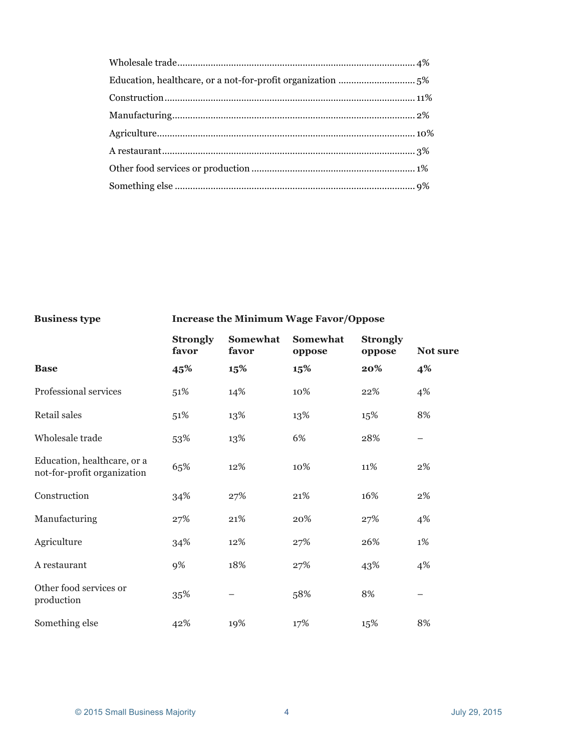### **Business type Increase the Minimum Wage Favor/Oppose**

|                                                            | <b>Strongly</b><br>favor | Somewhat<br>favor | Somewhat<br>oppose | <b>Strongly</b><br>oppose | <b>Not sure</b> |
|------------------------------------------------------------|--------------------------|-------------------|--------------------|---------------------------|-----------------|
| <b>Base</b>                                                | 45%                      | 15%               | 15%                | 20%                       | 4%              |
| Professional services                                      | 51%                      | 14%               | 10%                | 22%                       | 4%              |
| Retail sales                                               | 51%                      | 13%               | 13%                | 15%                       | 8%              |
| Wholesale trade                                            | 53%                      | 13%               | 6%                 | 28%                       |                 |
| Education, healthcare, or a<br>not-for-profit organization | 65%                      | 12%               | 10%                | 11%                       | 2%              |
| Construction                                               | 34%                      | 27%               | 21%                | 16%                       | 2%              |
| Manufacturing                                              | 27%                      | 21%               | 20%                | 27%                       | 4%              |
| Agriculture                                                | 34%                      | 12%               | 27%                | 26%                       | $1\%$           |
| A restaurant                                               | 9%                       | 18%               | 27%                | 43%                       | 4%              |
| Other food services or<br>production                       | 35%                      |                   | 58%                | 8%                        |                 |
| Something else                                             | 42%                      | 19%               | 17%                | 15%                       | 8%              |